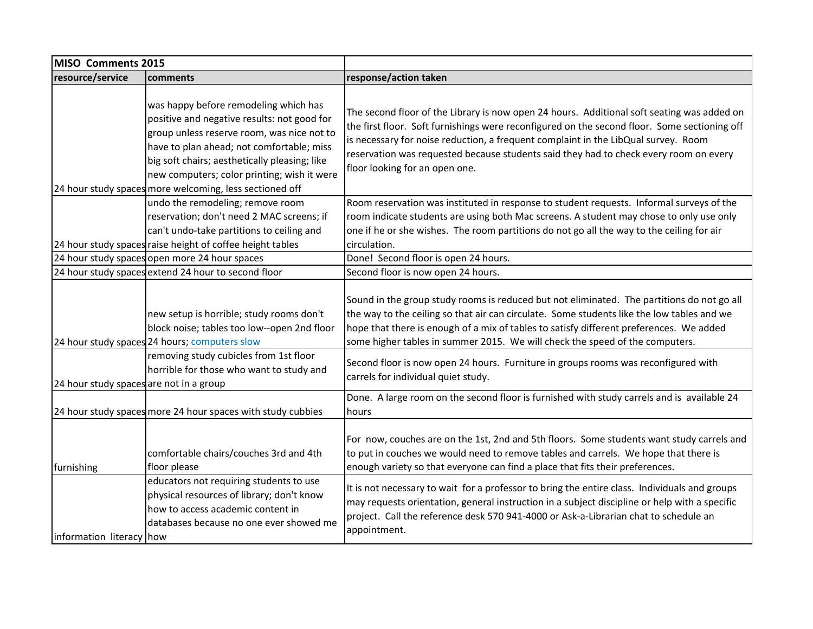| MISO Comments 2015                      |                                                                                                                                                                                                                                                                                                                                            |                                                                                                                                                                                                                                                                                                                                                                                                                                                                                                  |
|-----------------------------------------|--------------------------------------------------------------------------------------------------------------------------------------------------------------------------------------------------------------------------------------------------------------------------------------------------------------------------------------------|--------------------------------------------------------------------------------------------------------------------------------------------------------------------------------------------------------------------------------------------------------------------------------------------------------------------------------------------------------------------------------------------------------------------------------------------------------------------------------------------------|
| resource/service                        | comments                                                                                                                                                                                                                                                                                                                                   | response/action taken                                                                                                                                                                                                                                                                                                                                                                                                                                                                            |
|                                         | was happy before remodeling which has<br>positive and negative results: not good for<br>group unless reserve room, was nice not to<br>have to plan ahead; not comfortable; miss<br>big soft chairs; aesthetically pleasing; like<br>new computers; color printing; wish it were<br>24 hour study spaces more welcoming, less sectioned off | The second floor of the Library is now open 24 hours. Additional soft seating was added on<br>the first floor. Soft furnishings were reconfigured on the second floor. Some sectioning off<br>is necessary for noise reduction, a frequent complaint in the LibQual survey. Room<br>reservation was requested because students said they had to check every room on every<br>floor looking for an open one.                                                                                      |
|                                         | undo the remodeling; remove room<br>reservation; don't need 2 MAC screens; if<br>can't undo-take partitions to ceiling and<br>24 hour study spaces raise height of coffee height tables                                                                                                                                                    | Room reservation was instituted in response to student requests. Informal surveys of the<br>room indicate students are using both Mac screens. A student may chose to only use only<br>one if he or she wishes. The room partitions do not go all the way to the ceiling for air<br>circulation.                                                                                                                                                                                                 |
|                                         | 24 hour study spaces open more 24 hour spaces                                                                                                                                                                                                                                                                                              | Done! Second floor is open 24 hours.                                                                                                                                                                                                                                                                                                                                                                                                                                                             |
|                                         | 24 hour study spaces extend 24 hour to second floor                                                                                                                                                                                                                                                                                        | Second floor is now open 24 hours.                                                                                                                                                                                                                                                                                                                                                                                                                                                               |
| 24 hour study spaces are not in a group | new setup is horrible; study rooms don't<br>block noise; tables too low--open 2nd floor<br>24 hour study spaces 24 hours; computers slow<br>removing study cubicles from 1st floor<br>horrible for those who want to study and                                                                                                             | Sound in the group study rooms is reduced but not eliminated. The partitions do not go all<br>the way to the ceiling so that air can circulate. Some students like the low tables and we<br>hope that there is enough of a mix of tables to satisfy different preferences. We added<br>some higher tables in summer 2015. We will check the speed of the computers.<br>Second floor is now open 24 hours. Furniture in groups rooms was reconfigured with<br>carrels for individual quiet study. |
|                                         | 24 hour study spaces more 24 hour spaces with study cubbies                                                                                                                                                                                                                                                                                | Done. A large room on the second floor is furnished with study carrels and is available 24<br>hours                                                                                                                                                                                                                                                                                                                                                                                              |
| furnishing                              | comfortable chairs/couches 3rd and 4th<br>floor please                                                                                                                                                                                                                                                                                     | For now, couches are on the 1st, 2nd and 5th floors. Some students want study carrels and<br>to put in couches we would need to remove tables and carrels. We hope that there is<br>enough variety so that everyone can find a place that fits their preferences.                                                                                                                                                                                                                                |
| information literacy how                | educators not requiring students to use<br>physical resources of library; don't know<br>how to access academic content in<br>databases because no one ever showed me                                                                                                                                                                       | It is not necessary to wait for a professor to bring the entire class. Individuals and groups<br>may requests orientation, general instruction in a subject discipline or help with a specific<br>project. Call the reference desk 570 941-4000 or Ask-a-Librarian chat to schedule an<br>appointment.                                                                                                                                                                                           |